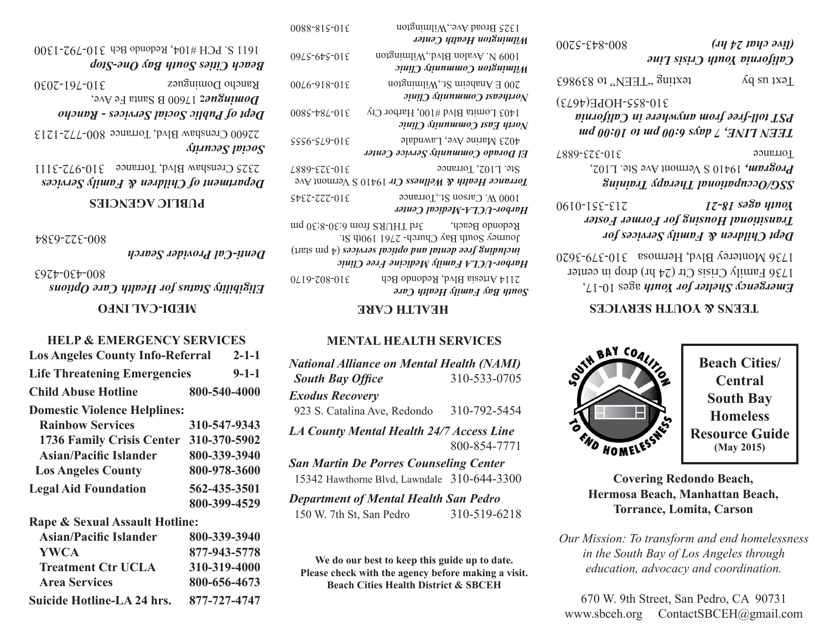| 0075-978-008                                                  | $(147)$ $(17)$ $(101)$<br>California Youth Crisis Line                                                       |
|---------------------------------------------------------------|--------------------------------------------------------------------------------------------------------------|
| $E986E8$ of $EEM$ <sub>a</sub> , $EEH$ <sub>a</sub> , $E9863$ | Text us by                                                                                                   |
| 310-855-HOPE(4673)                                            | <b>DST toll-free from anywere in California</b><br>$\mu$ d and $\mu$ and $\mu$ and $\mu$ and $\mu$ and $\mu$ |
| 210-323-6887                                                  | Torrance                                                                                                     |
|                                                               | <b>Program,</b> 19410 S Vermont Ave Ste. L102,<br>SuiuivaI (qprodT lonoinquooO\DZZ                           |

*Dept Children & Family Services for Transitional Housing for Former Foster*  0610-155-517<br>*I*Z-81 Sagn upnox

ages 10-17, *Emergency Shelter for Youth*  1736 Family Crisis Ctr (24 hr) drop in center  $3139-395$  Monterey Blvd, Hermosa  $316-323$ 

## **TEENS & YOUTH SERVICES**



**Beach Cities/ Central South Bay Homeless Resource Guide (May 2015)**

**Covering Redondo Beach, Hermosa Beach, Manhattan Beach, Torrance, Lomita, Carson**

*Our Mission: To transform and end homelessness in the South Bay of Los Angeles through education, advocacy and coordination.*

670 W. 9th Street, San Pedro, CA 90731 www.sbceh.org ContactSBCEH@gmail.com

| 0088-815-018                                                                                                                                                                                                                                           | 1325 Broad Ave., Wilmington<br>Milmington Health Center          |
|--------------------------------------------------------------------------------------------------------------------------------------------------------------------------------------------------------------------------------------------------------|------------------------------------------------------------------|
| 09LS-67S-01E                                                                                                                                                                                                                                           | 1009 N. Avalon Blvd., Wilmington<br>Milmington Community Clinic  |
| 0046-918-018                                                                                                                                                                                                                                           | $200 E$ Anaheim St., Wilmington<br>Northeast Community Clinic    |
| 0085-784-018                                                                                                                                                                                                                                           | 1403 Lomita Blvd #100, Harbor Cty<br>North East Community Clinic |
| $SSS6-SL9-01E$                                                                                                                                                                                                                                         | 4023 Marine Ave, Lawndale<br>El Dorado Community Service Center  |
| $2t\epsilon$ . L102, Torrance<br>210-339-628<br>Torrance Health & Wellness Ctr 19410 S Vermont Ave                                                                                                                                                     |                                                                  |
| $S$ <i>v</i> EZ-ZZZ-OIE                                                                                                                                                                                                                                | 1000 W. Carson St., Torrance<br>Harbor-UCLA-Medical Center       |
| Redondo Beach, $\qquad \qquad$ 3rd THURS from 6:30-8:30 pm<br>Journey South Bay Church-2761 190th St.<br>(theis $\mathop{\mathrm{ind}}\nolimits_{\mathfrak{p}}$ ) səsiyyəs həsiqdo ban həməb əsif gaibuləni<br>Harbor-UCLA Family Medicine Free Clinic |                                                                  |

*South Bay Family Health Care*  $3114$  Artesia Blvd, Redondo Bch and  $310$ - $203$ - $0110$ 

## **HEALTH CARE**

## **MENTAL HEALTH SERVICES**

| <b>National Alliance on Mental Health (NAMI)</b>                                             |              |
|----------------------------------------------------------------------------------------------|--------------|
| <b>South Bay Office</b>                                                                      | 310-533-0705 |
| <b>Exodus Recovery</b>                                                                       |              |
| 923 S. Catalina Ave, Redondo                                                                 | 310-792-5454 |
| <b>LA County Mental Health 24/7 Access Line</b>                                              | 800-854-7771 |
| <b>San Martin De Porres Counseling Center</b><br>15342 Hawthorne Blvd, Lawndale 310-644-3300 |              |
| <b>Department of Mental Health San Pedro</b>                                                 |              |

*Department of Mental Health San Pedro* 150 W. 7th St, San Pedro 310-519-6218

**We do our best to keep this guide up to date. Please check with the agency before making a visit. Beach Cities Health District & SBCEH**

*Beach Cities South Bay One-Stop*  $310-795$  S DCH #104' Redondo Bch 1610-1500

*Dept of Public Social Services - Rancho*  17600 B Santa Fe Ave, *Dominguez*   $310-302$  COSC  $300-2030$ 

*Social Security*  $2500$  Crenshaw Blvd, Torrance 800-771-1213

*Department of Children & Family Services*   $310-5222$  Crenshaw Blvd, Torrance  $310-5111$ 

## **PUBLIC AGENCIES**

800-322-6384

*Denti-Cal Provider Search*

*Eligibility Status for Health Care Options*  800-430-4263

# **MEDI-CAL INFO**

### **HELP & EMERGENCY SERVICES**

| <b>Los Angeles County Info-Referral</b> | $2 - 1 - 1$  |
|-----------------------------------------|--------------|
| <b>Life Threatening Emergencies</b>     | $9 - 1 - 1$  |
| <b>Child Abuse Hotline</b>              | 800-540-4000 |
| <b>Domestic Violence Helplines:</b>     |              |
| <b>Rainbow Services</b>                 | 310-547-9343 |
| 1736 Family Crisis Center               | 310-370-5902 |
| Asian/Pacific Islander                  | 800-339-3940 |
| <b>Los Angeles County</b>               | 800-978-3600 |
| <b>Legal Aid Foundation</b>             | 562-435-3501 |
|                                         | 800-399-4529 |
| Rape & Sexual Assault Hotline:          |              |
| <b>Asian/Pacific Islander</b>           | 800-339-3940 |
|                                         |              |

| <b>Asian/Pacific Islander</b> | 800-339-3940 |
|-------------------------------|--------------|
| <b>YWCA</b>                   | 877-943-5778 |
| <b>Treatment Ctr UCLA</b>     | 310-319-4000 |
| <b>Area Services</b>          | 800-656-4673 |
| Suicide Hotline-LA 24 hrs.    | 877-727-4747 |